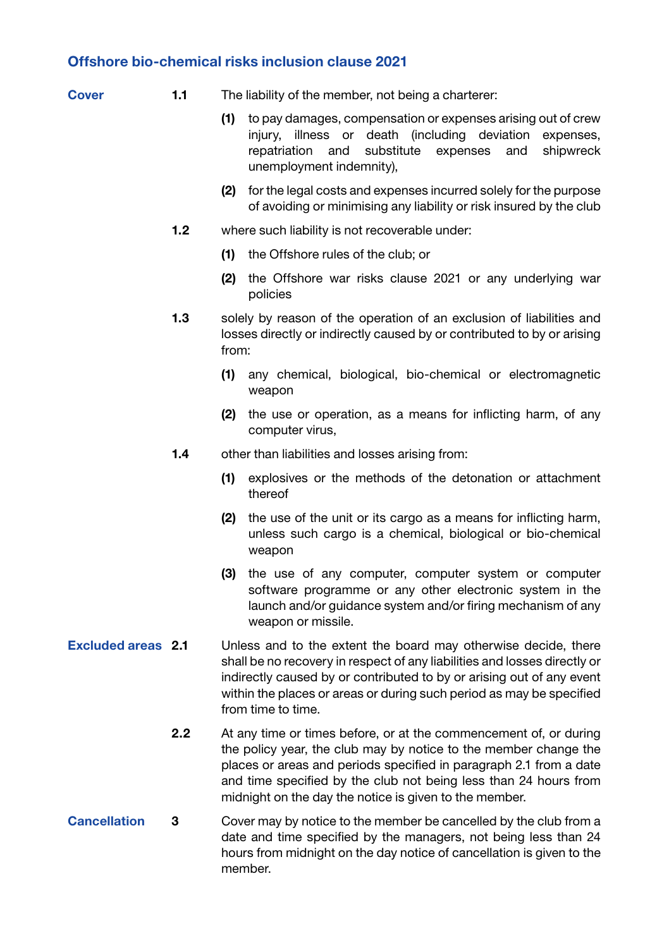## Offshore bio-chemical risks inclusion clause 2021

| . .<br>٧<br>___ |
|-----------------|

- 1.1 The liability of the member, not being a charterer:
	- (1) to pay damages, compensation or expenses arising out of crew injury, illness or death (including deviation expenses, repatriation and substitute expenses and shipwreck unemployment indemnity),
	- (2) for the legal costs and expenses incurred solely for the purpose of avoiding or minimising any liability or risk insured by the club
- 1.2 where such liability is not recoverable under:
	- (1) the Offshore rules of the club; or
	- (2) the Offshore war risks clause 2021 or any underlying war policies
- 1.3 solely by reason of the operation of an exclusion of liabilities and losses directly or indirectly caused by or contributed to by or arising from:
	- (1) any chemical, biological, bio-chemical or electromagnetic weapon
	- (2) the use or operation, as a means for inflicting harm, of any computer virus,
- 1.4 other than liabilities and losses arising from:
	- (1) explosives or the methods of the detonation or attachment thereof
	- (2) the use of the unit or its cargo as a means for inflicting harm, unless such cargo is a chemical, biological or bio-chemical weapon
	- (3) the use of any computer, computer system or computer software programme or any other electronic system in the launch and/or guidance system and/or firing mechanism of any weapon or missile.
- Excluded areas 2.1 Unless and to the extent the board may otherwise decide, there shall be no recovery in respect of any liabilities and losses directly or indirectly caused by or contributed to by or arising out of any event within the places or areas or during such period as may be specified from time to time.
	- 2.2 At any time or times before, or at the commencement of, or during the policy year, the club may by notice to the member change the places or areas and periods specified in paragraph 2.1 from a date and time specified by the club not being less than 24 hours from midnight on the day the notice is given to the member.
- Cancellation 3 Cover may by notice to the member be cancelled by the club from a date and time specified by the managers, not being less than 24 hours from midnight on the day notice of cancellation is given to the member.